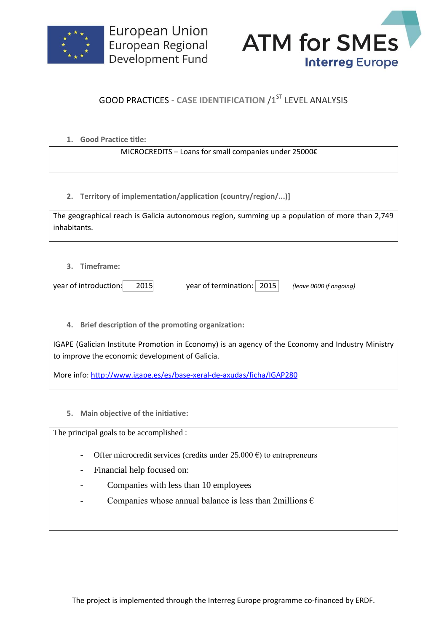



## **GOOD PRACTICES - CASE IDENTIFICATION /1ST LEVEL ANALYSIS**

**1. Good Practice title:**

MICROCREDITS – Loans for small companies under 25000€

**2. Territory of implementation/application (country/region/...)]**

|              | The geographical reach is Galicia autonomous region, summing up a population of more than 2,749 |
|--------------|-------------------------------------------------------------------------------------------------|
| inhabitants. |                                                                                                 |

**3. Timeframe:**

year of introduction: 2015 year of termination: 2015 *(leave 0000 if ongoing)*

**4. Brief description of the promoting organization:**

IGAPE (Galician Institute Promotion in Economy) is an agency of the Economy and Industry Ministry to improve the economic development of Galicia.

More info:<http://www.igape.es/es/base-xeral-de-axudas/ficha/IGAP280>

**5. Main objective of the initiative:**

The principal goals to be accomplished :

- Offer microcredit services (credits under  $25.000 \text{ } \epsilon$ ) to entrepreneurs
- Financial help focused on:
- Companies with less than 10 employees
- Companies whose annual balance is less than 2millions  $\epsilon$